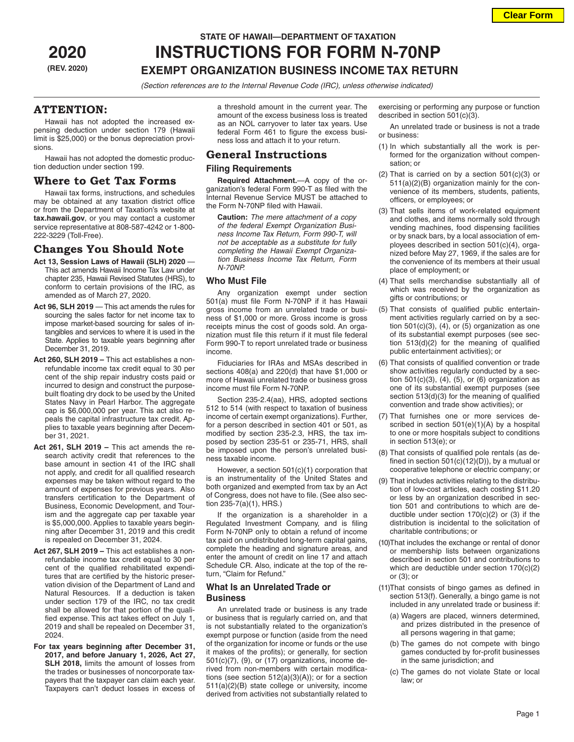# **STATE OF HAWAII—DEPARTMENT OF TAXATION**

## **2020 INSTRUCTIONS FOR FORM N-70NP (REV. 2020) EXEMPT ORGANIZATION BUSINESS INCOME TAX RETURN**

*(Section references are to the Internal Revenue Code (IRC), unless otherwise indicated)*

## **ATTENTION:**

Hawaii has not adopted the increased expensing deduction under section 179 (Hawaii limit is \$25,000) or the bonus depreciation provisions.

Hawaii has not adopted the domestic production deduction under section 199.

## **Where to Get Tax Forms**

Hawaii tax forms, instructions, and schedules may be obtained at any taxation district office or from the Department of Taxation's website at **tax.hawaii.gov**, or you may contact a customer service representative at 808-587-4242 or 1-800- 222-3229 (Toll-Free).

## **Changes You Should Note**

- **Act 13, Session Laws of Hawaii (SLH) 2020**  This act amends Hawaii Income Tax Law under chapter 235, Hawaii Revised Statutes (HRS), to conform to certain provisions of the IRC, as amended as of March 27, 2020.
- **Act 96, SLH 2019** This act amends the rules for sourcing the sales factor for net income tax to impose market-based sourcing for sales of intangibles and services to where it is used in the State. Applies to taxable years beginning after December 31, 2019.
- **Act 260, SLH 2019** This act establishes a nonrefundable income tax credit equal to 30 per cent of the ship repair industry costs paid or incurred to design and construct the purposebuilt floating dry dock to be used by the United States Navy in Pearl Harbor. The aggregate cap is \$6,000,000 per year. This act also repeals the capital infrastructure tax credit. Applies to taxable years beginning after December 31, 2021.
- **Act 261, SLH 2019** This act amends the research activity credit that references to the base amount in section 41 of the IRC shall not apply, and credit for all qualified research expenses may be taken without regard to the amount of expenses for previous years. Also transfers certification to the Department of Business, Economic Development, and Tourism and the aggregate cap per taxable year is \$5,000,000. Applies to taxable years beginning after December 31, 2019 and this credit is repealed on December 31, 2024.
- **Act 267, SLH 2019** This act establishes a nonrefundable income tax credit equal to 30 per cent of the qualified rehabilitated expenditures that are certified by the historic preservation division of the Department of Land and Natural Resources. If a deduction is taken under section 179 of the IRC, no tax credit shall be allowed for that portion of the qualified expense. This act takes effect on July 1, 2019 and shall be repealed on December 31, 2024.
- **For tax years beginning after December 31, 2017, and before January 1, 2026, Act 27, SLH 2018,** limits the amount of losses from the trades or businesses of noncorporate taxpayers that the taxpayer can claim each year. Taxpayers can't deduct losses in excess of

a threshold amount in the current year. The amount of the excess business loss is treated as an NOL carryover to later tax years. Use federal Form 461 to figure the excess business loss and attach it to your return.

### **General Instructions**

#### **Filing Requirements**

**Required Attachment.**—A copy of the organization's federal Form 990-T as filed with the Internal Revenue Service MUST be attached to the Form N-70NP filed with Hawaii.

**Caution:** *The mere attachment of a copy of the federal Exempt Organization Business Income Tax Return, Form 990-T, will not be acceptable as a substitute for fully completing the Hawaii Exempt Organization Business Income Tax Return, Form N-70NP.*

#### **Who Must File**

Any organization exempt under section 501(a) must file Form N-70NP if it has Hawaii gross income from an unrelated trade or business of \$1,000 or more. Gross income is gross receipts minus the cost of goods sold. An organization must file this return if it must file federal Form 990-T to report unrelated trade or business income.

Fiduciaries for IRAs and MSAs described in sections 408(a) and 220(d) that have \$1,000 or more of Hawaii unrelated trade or business gross income must file Form N-70NP.

Section 235-2.4(aa), HRS, adopted sections 512 to 514 (with respect to taxation of business income of certain exempt organizations). Further, for a person described in section 401 or 501, as modified by section 235-2.3, HRS, the tax imposed by section 235-51 or 235-71, HRS, shall be imposed upon the person's unrelated business taxable income.

However, a section 501(c)(1) corporation that is an instrumentality of the United States and both organized and exempted from tax by an Act of Congress, does not have to file. (See also section 235-7(a)(1), HRS.)

If the organization is a shareholder in a Regulated Investment Company, and is filing Form N-70NP only to obtain a refund of income tax paid on undistributed long-term capital gains, complete the heading and signature areas, and enter the amount of credit on line 17 and attach Schedule CR. Also, indicate at the top of the return, "Claim for Refund."

#### **What Is an Unrelated Trade or Business**

An unrelated trade or business is any trade or business that is regularly carried on, and that is not substantially related to the organization's exempt purpose or function (aside from the need of the organization for income or funds or the use it makes of the profits); or generally, for section 501(c)(7), (9), or (17) organizations, income derived from non-members with certain modifications (see section 512(a)(3)(A)); or for a section 511(a)(2)(B) state college or university, income derived from activities not substantially related to exercising or performing any purpose or function described in section 501(c)(3).

An unrelated trade or business is not a trade or business:

- (1) In which substantially all the work is performed for the organization without compensation; or
- (2) That is carried on by a section 501(c)(3) or 511(a)(2)(B) organization mainly for the convenience of its members, students, patients, officers, or employees; or
- (3) That sells items of work-related equipment and clothes, and items normally sold through vending machines, food dispensing facilities or by snack bars, by a local association of employees described in section 501(c)(4), organized before May 27, 1969, if the sales are for the convenience of its members at their usual place of employment; or
- (4) That sells merchandise substantially all of which was received by the organization as gifts or contributions; or
- (5) That consists of qualified public entertainment activities regularly carried on by a section  $501(c)(3)$ ,  $(4)$ , or  $(5)$  organization as one of its substantial exempt purposes (see section 513(d)(2) for the meaning of qualified public entertainment activities); or
- (6) That consists of qualified convention or trade show activities regularly conducted by a section 501(c)(3), (4), (5), or (6) organization as one of its substantial exempt purposes (see section 513(d)(3) for the meaning of qualified convention and trade show activities); or
- (7) That furnishes one or more services described in section 501(e)(1)(A) by a hospital to one or more hospitals subject to conditions in section 513(e); or
- (8) That consists of qualified pole rentals (as defined in section  $501(c)(12)(D)$ ), by a mutual or cooperative telephone or electric company; or
- (9) That includes activities relating to the distribution of low-cost articles, each costing \$11.20 or less by an organization described in section 501 and contributions to which are deductible under section  $170(c)(2)$  or (3) if the distribution is incidental to the solicitation of charitable contributions; or
- (10)That includes the exchange or rental of donor or membership lists between organizations described in section 501 and contributions to which are deductible under section 170(c)(2) or (3); or
- (11)That consists of bingo games as defined in section 513(f). Generally, a bingo game is not included in any unrelated trade or business if:
	- (a) Wagers are placed, winners determined, and prizes distributed in the presence of all persons wagering in that game;
	- (b) The games do not compete with bingo games conducted by for-profit businesses in the same jurisdiction; and
	- (c) The games do not violate State or local law; or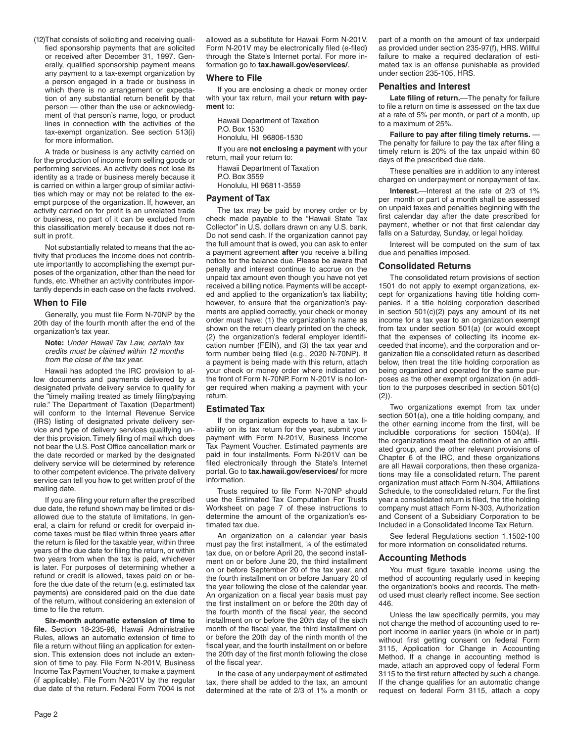(12)That consists of soliciting and receiving qualified sponsorship payments that are solicited or received after December 31, 1997. Generally, qualified sponsorship payment means any payment to a tax-exempt organization by a person engaged in a trade or business in which there is no arrangement or expectation of any substantial return benefit by that person — other than the use or acknowledgment of that person's name, logo, or product lines in connection with the activities of the tax-exempt organization. See section 513(i) for more information.

A trade or business is any activity carried on for the production of income from selling goods or performing services. An activity does not lose its identity as a trade or business merely because it is carried on within a larger group of similar activities which may or may not be related to the exempt purpose of the organization. If, however, an activity carried on for profit is an unrelated trade or business, no part of it can be excluded from this classification merely because it does not result in profit.

Not substantially related to means that the activity that produces the income does not contribute importantly to accomplishing the exempt purposes of the organization, other than the need for funds, etc. Whether an activity contributes importantly depends in each case on the facts involved.

#### **When to File**

Generally, you must file Form N-70NP by the 20th day of the fourth month after the end of the organization's tax year.

#### **Note:** *Under Hawaii Tax Law, certain tax credits must be claimed within 12 months from the close of the tax year.*

Hawaii has adopted the IRC provision to allow documents and payments delivered by a designated private delivery service to qualify for the "timely mailing treated as timely filing/paying rule." The Department of Taxation (Department) will conform to the Internal Revenue Service (IRS) listing of designated private delivery service and type of delivery services qualifying under this provision. Timely filing of mail which does not bear the U.S. Post Office cancellation mark or the date recorded or marked by the designated delivery service will be determined by reference to other competent evidence. The private delivery service can tell you how to get written proof of the mailing date.

If you are filing your return after the prescribed due date, the refund shown may be limited or disallowed due to the statute of limitations. In general, a claim for refund or credit for overpaid income taxes must be filed within three years after the return is filed for the taxable year, within three years of the due date for filing the return, or within two years from when the tax is paid, whichever is later. For purposes of determining whether a refund or credit is allowed, taxes paid on or before the due date of the return (e.g. estimated tax payments) are considered paid on the due date of the return, without considering an extension of time to file the return.

**Six-month automatic extension of time to file.** Section 18-235-98, Hawaii Administrative Rules, allows an automatic extension of time to file a return without filing an application for extension. This extension does not include an extension of time to pay. File Form N-201V, Business Income Tax Payment Voucher, to make a payment (if applicable). File Form N-201V by the regular due date of the return. Federal Form 7004 is not

allowed as a substitute for Hawaii Form N-201V. Form N-201V may be electronically filed (e-filed) through the State's Internet portal. For more information go to **tax.hawaii.gov/eservices/**.

#### **Where to File**

If you are enclosing a check or money order with your tax return, mail your **return with payment** to:

Hawaii Department of Taxation P.O. Box 1530 Honolulu, HI 96806-1530

If you are **not enclosing a payment** with your return, mail your return to:

Hawaii Department of Taxation P.O. Box 3559 Honolulu, HI 96811-3559

#### **Payment of Tax**

The tax may be paid by money order or by check made payable to the "Hawaii State Tax Collector" in U.S. dollars drawn on any U.S. bank. Do not send cash. If the organization cannot pay the full amount that is owed, you can ask to enter a payment agreement **after** you receive a billing notice for the balance due. Please be aware that penalty and interest continue to accrue on the unpaid tax amount even though you have not yet received a billing notice. Payments will be accepted and applied to the organization's tax liability; however, to ensure that the organization's payments are applied correctly, your check or money order must have: (1) the organization's name as shown on the return clearly printed on the check, (2) the organization's federal employer identification number (FEIN), and (3) the tax year and form number being filed (e.g., 2020 N-70NP). If a payment is being made with this return, attach your check or money order where indicated on the front of Form N-70NP. Form N-201V is no longer required when making a payment with your return.

#### **Estimated Tax**

If the organization expects to have a tax liability on its tax return for the year, submit your payment with Form N-201V, Business Income Tax Payment Voucher. Estimated payments are paid in four installments. Form N-201V can be filed electronically through the State's Internet portal. Go to **tax.hawaii.gov/eservices/** for more information.

Trusts required to file Form N-70NP should use the Estimated Tax Computation For Trusts Worksheet on page 7 of these instructions to determine the amount of the organization's estimated tax due.

An organization on a calendar year basis must pay the first installment, ¼ of the estimated tax due, on or before April 20, the second installment on or before June 20, the third installment on or before September 20 of the tax year, and the fourth installment on or before January 20 of the year following the close of the calendar year. An organization on a fiscal year basis must pay the first installment on or before the 20th day of the fourth month of the fiscal year, the second installment on or before the 20th day of the sixth month of the fiscal year, the third installment on or before the 20th day of the ninth month of the fiscal year, and the fourth installment on or before the 20th day of the first month following the close of the fiscal year.

In the case of any underpayment of estimated tax, there shall be added to the tax, an amount determined at the rate of 2/3 of 1% a month or part of a month on the amount of tax underpaid as provided under section 235-97(f), HRS. Willful failure to make a required declaration of estimated tax is an offense punishable as provided under section 235-105, HRS.

#### **Penalties and Interest**

**Late filing of return.**—The penalty for failure to file a return on time is assessed on the tax due at a rate of 5% per month, or part of a month, up to a maximum of 25%.

**Failure to pay after filing timely returns.** — The penalty for failure to pay the tax after filing a timely return is 20% of the tax unpaid within 60 days of the prescribed due date.

These penalties are in addition to any interest charged on underpayment or nonpayment of tax.

**Interest.**—Interest at the rate of 2/3 of 1% per month or part of a month shall be assessed on unpaid taxes and penalties beginning with the first calendar day after the date prescribed for payment, whether or not that first calendar day falls on a Saturday, Sunday, or legal holiday.

Interest will be computed on the sum of tax due and penalties imposed.

#### **Consolidated Returns**

The consolidated return provisions of section 1501 do not apply to exempt organizations, except for organizations having title holding companies. If a title holding corporation described in section 501(c)(2) pays any amount of its net income for a tax year to an organization exempt from tax under section 501(a) (or would except that the expenses of collecting its income exceeded that income), and the corporation and organization file a consolidated return as described below, then treat the title holding corporation as being organized and operated for the same purposes as the other exempt organization (in addition to the purposes described in section 501(c)  $(2)$ ).

Two organizations exempt from tax under section 501(a), one a title holding company, and the other earning income from the first, will be includible corporations for section 1504(a). If the organizations meet the definition of an affiliated group, and the other relevant provisions of Chapter 6 of the IRC, and these organizations are all Hawaii corporations, then these organizations may file a consolidated return. The parent organization must attach Form N-304, Affiliations Schedule, to the consolidated return. For the first year a consolidated return is filed, the title holding company must attach Form N-303, Authorization and Consent of a Subsidiary Corporation to be Included in a Consolidated Income Tax Return.

See federal Regulations section 1.1502-100 for more information on consolidated returns.

#### **Accounting Methods**

You must figure taxable income using the method of accounting regularly used in keeping the organization's books and records. The method used must clearly reflect income. See section 446.

Unless the law specifically permits, you may not change the method of accounting used to report income in earlier years (in whole or in part) without first getting consent on federal Form 3115, Application for Change in Accounting Method. If a change in accounting method is made, attach an approved copy of federal Form 3115 to the first return affected by such a change. If the change qualifies for an automatic change request on federal Form 3115, attach a copy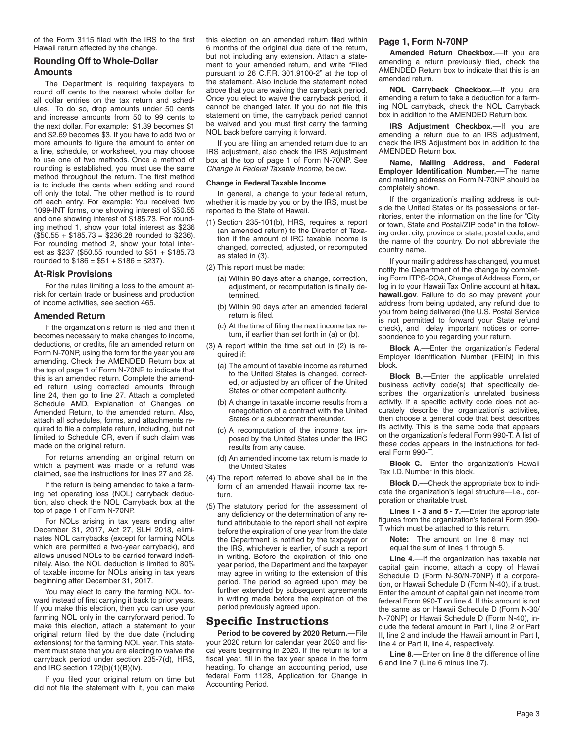of the Form 3115 filed with the IRS to the first Hawaii return affected by the change.

#### **Rounding Off to Whole-Dollar Amounts**

The Department is requiring taxpayers to round off cents to the nearest whole dollar for all dollar entries on the tax return and schedules. To do so, drop amounts under 50 cents and increase amounts from 50 to 99 cents to the next dollar. For example: \$1.39 becomes \$1 and \$2.69 becomes \$3. If you have to add two or more amounts to figure the amount to enter on a line, schedule, or worksheet, you may choose to use one of two methods. Once a method of rounding is established, you must use the same method throughout the return. The first method is to include the cents when adding and round off only the total. The other method is to round off each entry. For example: You received two 1099-INT forms, one showing interest of \$50.55 and one showing interest of \$185.73. For rounding method 1, show your total interest as \$236  $($50.55 + $185.73 = $236.28$  rounded to \$236). For rounding method 2, show your total interest as \$237 (\$50.55 rounded to \$51 + \$185.73 rounded to  $$186 = $51 + $186 = $237$ .

#### **At-Risk Provisions**

For the rules limiting a loss to the amount atrisk for certain trade or business and production of income activities, see section 465.

#### **Amended Return**

If the organization's return is filed and then it becomes necessary to make changes to income, deductions, or credits, file an amended return on Form N-70NP, using the form for the year you are amending. Check the AMENDED Return box at the top of page 1 of Form N-70NP to indicate that this is an amended return. Complete the amended return using corrected amounts through line 24, then go to line 27. Attach a completed Schedule AMD, Explanation of Changes on Amended Return, to the amended return. Also, attach all schedules, forms, and attachments required to file a complete return, including, but not limited to Schedule CR, even if such claim was made on the original return.

For returns amending an original return on which a payment was made or a refund was claimed, see the instructions for lines 27 and 28.

If the return is being amended to take a farming net operating loss (NOL) carryback deduction, also check the NOL Carryback box at the top of page 1 of Form N-70NP.

For NOLs arising in tax years ending after December 31, 2017, Act 27, SLH 2018, eliminates NOL carrybacks (except for farming NOLs which are permitted a two-year carryback), and allows unused NOLs to be carried forward indefinitely. Also, the NOL deduction is limited to 80% of taxable income for NOLs arising in tax years beginning after December 31, 2017.

You may elect to carry the farming NOL forward instead of first carrying it back to prior years. If you make this election, then you can use your farming NOL only in the carryforward period. To make this election, attach a statement to your original return filed by the due date (including extensions) for the farming NOL year. This statement must state that you are electing to waive the carryback period under section 235-7(d), HRS, and IRC section 172(b)(1)(B)(iv).

If you filed your original return on time but did not file the statement with it, you can make

this election on an amended return filed within 6 months of the original due date of the return, but not including any extension. Attach a statement to your amended return, and write "Filed pursuant to 26 C.F.R. 301.9100-2" at the top of the statement. Also include the statement noted above that you are waiving the carryback period. Once you elect to waive the carryback period, it cannot be changed later. If you do not file this statement on time, the carryback period cannot be waived and you must first carry the farming NOL back before carrying it forward.

If you are filing an amended return due to an IRS adjustment, also check the IRS Adjustment box at the top of page 1 of Form N-70NP. See *Change in Federal Taxable Income*, below.

#### **Change in Federal Taxable Income**

In general, a change to your federal return, whether it is made by you or by the IRS, must be reported to the State of Hawaii.

- (1) Section 235-101(b), HRS, requires a report (an amended return) to the Director of Taxation if the amount of IRC taxable Income is changed, corrected, adjusted, or recomputed as stated in (3).
- (2) This report must be made:
	- (a) Within 90 days after a change, correction, adjustment, or recomputation is finally determined.
	- (b) Within 90 days after an amended federal return is filed.
	- (c) At the time of filing the next income tax return, if earlier than set forth in (a) or (b).
- (3) A report within the time set out in (2) is required if:
	- (a) The amount of taxable income as returned to the United States is changed, corrected, or adjusted by an officer of the United States or other competent authority.
	- (b) A change in taxable income results from a renegotiation of a contract with the United States or a subcontract thereunder.
	- (c) A recomputation of the income tax imposed by the United States under the IRC results from any cause.
	- (d) An amended income tax return is made to the United States.
- (4) The report referred to above shall be in the form of an amended Hawaii income tax return.
- (5) The statutory period for the assessment of any deficiency or the determination of any refund attributable to the report shall not expire before the expiration of one year from the date the Department is notified by the taxpayer or the IRS, whichever is earlier, of such a report in writing. Before the expiration of this one year period, the Department and the taxpayer may agree in writing to the extension of this period. The period so agreed upon may be further extended by subsequent agreements in writing made before the expiration of the period previously agreed upon.

### **Specific Instructions**

**Period to be covered by 2020 Return.**—File your 2020 return for calendar year 2020 and fiscal years beginning in 2020. If the return is for a fiscal year, fill in the tax year space in the form heading. To change an accounting period, use federal Form 1128, Application for Change in Accounting Period.

#### **Page 1, Form N-70NP**

**Amended Return Checkbox.**––If you are amending a return previously filed, check the AMENDED Return box to indicate that this is an amended return.

**NOL Carryback Checkbox.**––If you are amending a return to take a deduction for a farming NOL carryback, check the NOL Carryback box in addition to the AMENDED Return box.

**IRS Adjustment Checkbox.—If you are** amending a return due to an IRS adjustment, check the IRS Adjustment box in addition to the AMENDED Return box.

**Name, Mailing Address, and Federal Employer Identification Number.**––The name and mailing address on Form N-70NP should be completely shown.

If the organization's mailing address is outside the United States or its possessions or territories, enter the information on the line for "City or town, State and Postal/ZIP code" in the following order: city, province or state, postal code, and the name of the country. Do not abbreviate the country name.

If your mailing address has changed, you must notify the Department of the change by completing Form ITPS-COA, Change of Address Form, or log in to your Hawaii Tax Online account at **hitax. hawaii.gov**. Failure to do so may prevent your address from being updated, any refund due to you from being delivered (the U.S. Postal Service is not permitted to forward your State refund check), and delay important notices or correspondence to you regarding your return.

**Block A.**––Enter the organization's Federal Employer Identification Number (FEIN) in this block.

**Block B.**––Enter the applicable unrelated business activity code(s) that specifically describes the organization's unrelated business activity. If a specific activity code does not accurately describe the organization's activities, then choose a general code that best describes its activity. This is the same code that appears on the organization's federal Form 990-T. A list of these codes appears in the instructions for federal Form 990-T.

**Block C.**––Enter the organization's Hawaii Tax I.D. Number in this block.

**Block D.**––Check the appropriate box to indicate the organization's legal structure—i.e., corporation or charitable trust.

**Lines 1 - 3 and 5 - 7.**––Enter the appropriate figures from the organization's federal Form 990- T which must be attached to this return.

**Note:** The amount on line 6 may not equal the sum of lines 1 through 5.

**Line 4.**––If the organization has taxable net capital gain income, attach a copy of Hawaii Schedule D (Form N-30/N-70NP) if a corporation, or Hawaii Schedule D (Form N-40), if a trust. Enter the amount of capital gain net income from federal Form 990-T on line 4. If this amount is not the same as on Hawaii Schedule D (Form N-30/ N-70NP) or Hawaii Schedule D (Form N-40), include the federal amount in Part I, line 2 or Part II, line 2 and include the Hawaii amount in Part I, line 4 or Part II, line 4, respectively.

**Line 8.**––Enter on line 8 the difference of line 6 and line 7 (Line 6 minus line 7).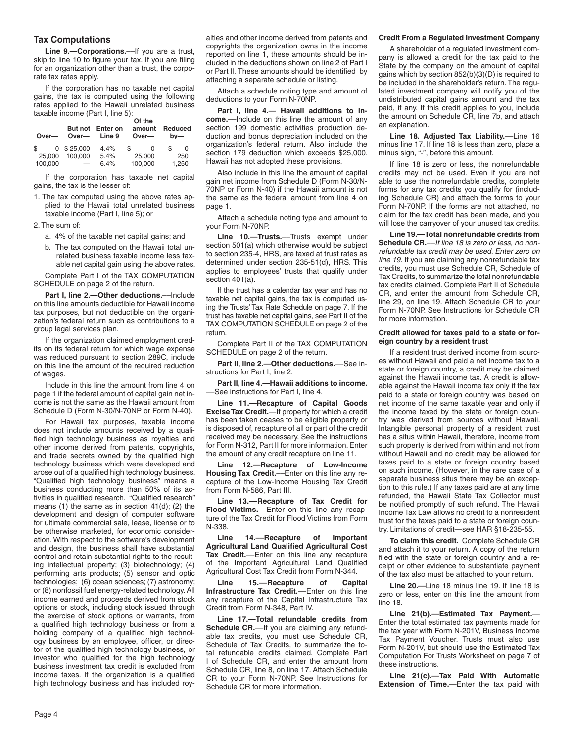#### **Tax Computations**

Line 9.-Corporations.--- If you are a trust, skip to line 10 to figure your tax. If you are filing for an organization other than a trust, the corporate tax rates apply.

If the corporation has no taxable net capital gains, the tax is computed using the following rates applied to the Hawaii unrelated business taxable income (Part I, line 5): **Of the**

| Over-   | Over—                    | But not Enter on<br>Line 9 | Of the<br>amount<br>Over- | Reduced<br>$bv$ — |
|---------|--------------------------|----------------------------|---------------------------|-------------------|
| \$      | $0$ \$ 25,000            | 4.4%                       | \$.<br>O                  | \$                |
| 25,000  | 100.000                  | 5.4%                       | 25,000                    | 250               |
| 100,000 | $\overline{\phantom{0}}$ | 6.4%                       | 100,000                   | 1,250             |

If the corporation has taxable net capital gains, the tax is the lesser of:

- 1. The tax computed using the above rates applied to the Hawaii total unrelated business taxable income (Part I, line 5); or
- 2. The sum of:
	- a. 4% of the taxable net capital gains; and
	- b. The tax computed on the Hawaii total unrelated business taxable income less taxable net capital gain using the above rates.

Complete Part I of the TAX COMPUTATION SCHEDULE on page 2 of the return.

**Part I, line 2.—Other deductions.**––Include on this line amounts deductible for Hawaii income tax purposes, but not deductible on the organization's federal return such as contributions to a group legal services plan.

If the organization claimed employment credits on its federal return for which wage expense was reduced pursuant to section 289C, include on this line the amount of the required reduction of wages.

Include in this line the amount from line 4 on page 1 if the federal amount of capital gain net income is not the same as the Hawaii amount from Schedule D (Form N-30/N-70NP or Form N-40).

For Hawaii tax purposes, taxable income does not include amounts received by a qualified high technology business as royalties and other income derived from patents, copyrights, and trade secrets owned by the qualified high technology business which were developed and arose out of a qualified high technology business. "Qualified high technology business" means a business conducting more than 50% of its activities in qualified research. "Qualified research" means (1) the same as in section 41(d); (2) the development and design of computer software for ultimate commercial sale, lease, license or to be otherwise marketed, for economic consideration. With respect to the software's development and design, the business shall have substantial control and retain substantial rights to the resulting intellectual property; (3) biotechnology; (4) performing arts products; (5) sensor and optic technologies; (6) ocean sciences; (7) astronomy; or (8) nonfossil fuel energy-related technology. All income earned and proceeds derived from stock options or stock, including stock issued through the exercise of stock options or warrants, from a qualified high technology business or from a holding company of a qualified high technology business by an employee, officer, or director of the qualified high technology business, or investor who qualified for the high technology business investment tax credit is excluded from income taxes. If the organization is a qualified high technology business and has included royalties and other income derived from patents and copyrights the organization owns in the income reported on line 1, these amounts should be included in the deductions shown on line 2 of Part I or Part II. These amounts should be identified by attaching a separate schedule or listing.

Attach a schedule noting type and amount of deductions to your Form N-70NP.

**Part I, line 4.— Hawaii additions to income.**––Include on this line the amount of any section 199 domestic activities production deduction and bonus depreciation included on the organization's federal return. Also include the section 179 deduction which exceeds \$25,000. Hawaii has not adopted these provisions.

Also include in this line the amount of capital gain net income from Schedule D (Form N-30/N-70NP or Form N-40) if the Hawaii amount is not the same as the federal amount from line 4 on page 1.

Attach a schedule noting type and amount to your Form N-70NP.

**Line 10.—Trusts.**––Trusts exempt under section 501(a) which otherwise would be subject to section 235-4, HRS, are taxed at trust rates as determined under section 235-51(d), HRS. This applies to employees' trusts that qualify under section 401(a).

If the trust has a calendar tax year and has no taxable net capital gains, the tax is computed using the Trusts' Tax Rate Schedule on page 7. If the trust has taxable net capital gains, see Part II of the TAX COMPUTATION SCHEDULE on page 2 of the return.

Complete Part II of the TAX COMPUTATION SCHEDULE on page 2 of the return.

**Part II, line 2.—Other deductions.**––See instructions for Part I, line 2.

**Part II, line 4.—Hawaii additions to income.** ––See instructions for Part I, line 4.

**Line 11.—Recapture of Capital Goods Excise Tax Credit.**—If property for which a credit has been taken ceases to be eligible property or is disposed of, recapture of all or part of the credit received may be necessary. See the instructions for Form N-312, Part II for more information. Enter the amount of any credit recapture on line 11.

**Line 12.—Recapture of Low-Income Housing Tax Credit.**––Enter on this line any recapture of the Low-Income Housing Tax Credit from Form N-586, Part III.

**Line 13.––Recapture of Tax Credit for Flood Victims.**––Enter on this line any recapture of the Tax Credit for Flood Victims from Form N-338.

**Line 14.––Recapture of Important Agricultural Land Qualified Agricultural Cost Tax Credit.**––Enter on this line any recapture of the Important Agricultural Land Qualified Agricultural Cost Tax Credit from Form N-344.

**Line 15.––Recapture of Capital Infrastructure Tax Credit.**––Enter on this line any recapture of the Capital Infrastructure Tax Credit from Form N-348, Part IV.

**Line 17.—Total refundable credits from**  Schedule CR.----If you are claiming any refundable tax credits, you must use Schedule CR, Schedule of Tax Credits, to summarize the total refundable credits claimed. Complete Part I of Schedule CR, and enter the amount from Schedule CR, line 8, on line 17. Attach Schedule CR to your Form N-70NP. See Instructions for Schedule CR for more information.

#### **Credit From a Regulated Investment Company**

A shareholder of a regulated investment company is allowed a credit for the tax paid to the State by the company on the amount of capital gains which by section 852(b)(3)(D) is required to be included in the shareholder's return. The regulated investment company will notify you of the undistributed capital gains amount and the tax paid, if any. If this credit applies to you, include the amount on Schedule CR, line 7b, and attach an explanation.

**Line 18. Adjusted Tax Liability.**––Line 16 minus line 17. If line 18 is less than zero, place a minus sign, "-", before this amount.

If line 18 is zero or less, the nonrefundable credits may not be used. Even if you are not able to use the nonrefundable credits, complete forms for any tax credits you qualify for (including Schedule CR) and attach the forms to your Form N-70NP. If the forms are not attached, no claim for the tax credit has been made, and you will lose the carryover of your unused tax credits.

**Line 19.—Total nonrefundable credits from Schedule CR.**––*If line 18 is zero or less, no nonrefundable tax credit may be used. Enter zero on line 19.* If you are claiming any nonrefundable tax credits, you must use Schedule CR, Schedule of Tax Credits, to summarize the total nonrefundable tax credits claimed. Complete Part II of Schedule CR, and enter the amount from Schedule CR, line 29, on line 19. Attach Schedule CR to your Form N-70NP. See Instructions for Schedule CR for more information.

#### **Credit allowed for taxes paid to a state or foreign country by a resident trust**

If a resident trust derived income from sources without Hawaii and paid a net income tax to a state or foreign country, a credit may be claimed against the Hawaii income tax. A credit is allowable against the Hawaii income tax only if the tax paid to a state or foreign country was based on net income of the same taxable year and only if the income taxed by the state or foreign country was derived from sources without Hawaii. Intangible personal property of a resident trust has a situs within Hawaii, therefore, income from such property is derived from within and not from without Hawaii and no credit may be allowed for taxes paid to a state or foreign country based on such income. (However, in the rare case of a separate business situs there may be an exception to this rule.) If any taxes paid are at any time refunded, the Hawaii State Tax Collector must be notified promptly of such refund. The Hawaii Income Tax Law allows no credit to a nonresident trust for the taxes paid to a state or foreign country. Limitations of credit—see HAR §18-235-55.

**To claim this credit.** Complete Schedule CR and attach it to your return. A copy of the return filed with the state or foreign country and a receipt or other evidence to substantiate payment of the tax also must be attached to your return.

**Line 20.—**Line 18 minus line 19. If line 18 is zero or less, enter on this line the amount from line 18.

**Line 21(b).—Estimated Tax Payment.**— Enter the total estimated tax payments made for the tax year with Form N-201V, Business Income Tax Payment Voucher. Trusts must also use Form N-201V, but should use the Estimated Tax Computation For Trusts Worksheet on page 7 of these instructions.

**Line 21(c).—Tax Paid With Automatic Extension of Time.**—Enter the tax paid with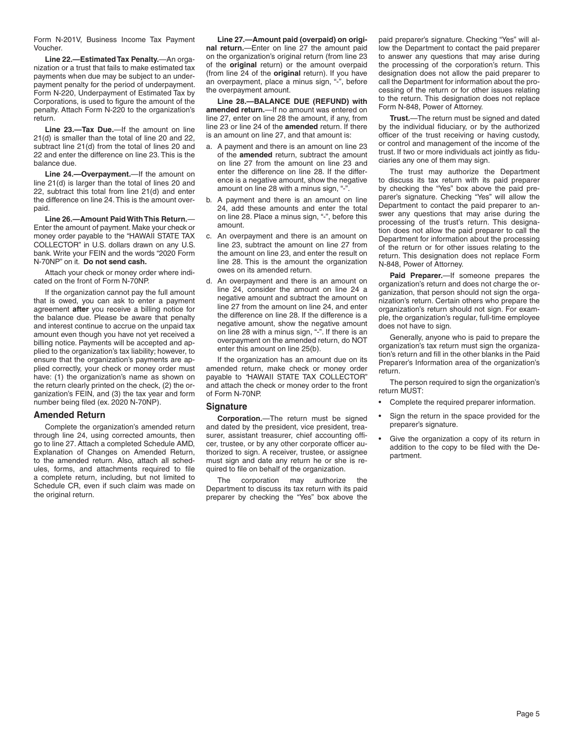Form N-201V, Business Income Tax Payment Voucher.

**Line 22.—Estimated Tax Penalty.**—An organization or a trust that fails to make estimated tax payments when due may be subject to an underpayment penalty for the period of underpayment. Form N-220, Underpayment of Estimated Tax by Corporations, is used to figure the amount of the penalty. Attach Form N-220 to the organization's return.

**Line 23.—Tax Due.**—If the amount on line 21(d) is smaller than the total of line 20 and 22, subtract line 21(d) from the total of lines 20 and 22 and enter the difference on line 23. This is the balance due.

**Line 24.—Overpayment.**—If the amount on line 21(d) is larger than the total of lines 20 and 22, subtract this total from line 21(d) and enter the difference on line 24. This is the amount overpaid.

**Line 26.—Amount Paid With This Return.**— Enter the amount of payment. Make your check or money order payable to the "HAWAII STATE TAX COLLECTOR" in U.S. dollars drawn on any U.S. bank. Write your FEIN and the words "2020 Form N-70NP" on it. **Do not send cash.**

Attach your check or money order where indicated on the front of Form N-70NP.

If the organization cannot pay the full amount that is owed, you can ask to enter a payment agreement **after** you receive a billing notice for the balance due. Please be aware that penalty and interest continue to accrue on the unpaid tax amount even though you have not yet received a billing notice. Payments will be accepted and applied to the organization's tax liability; however, to ensure that the organization's payments are applied correctly, your check or money order must have: (1) the organization's name as shown on the return clearly printed on the check, (2) the organization's FEIN, and (3) the tax year and form number being filed (ex. 2020 N-70NP).

#### **Amended Return**

Complete the organization's amended return through line 24, using corrected amounts, then go to line 27. Attach a completed Schedule AMD, Explanation of Changes on Amended Return, to the amended return. Also, attach all schedules, forms, and attachments required to file a complete return, including, but not limited to Schedule CR, even if such claim was made on the original return.

**Line 27.—Amount paid (overpaid) on original return.**—Enter on line 27 the amount paid on the organization's original return (from line 23 of the **original** return) or the amount overpaid (from line 24 of the **original** return). If you have an overpayment, place a minus sign, "-", before the overpayment amount.

**Line 28.—BALANCE DUE (REFUND) with amended return.**—If no amount was entered on line 27, enter on line 28 the amount, if any, from line 23 or line 24 of the **amended** return. If there is an amount on line 27, and that amount is:

- a. A payment and there is an amount on line 23 of the **amended** return, subtract the amount on line 27 from the amount on line 23 and enter the difference on line 28. If the difference is a negative amount, show the negative amount on line 28 with a minus sign, "-".
- b. A payment and there is an amount on line 24, add these amounts and enter the total on line 28. Place a minus sign, "-", before this amount.
- c. An overpayment and there is an amount on line 23, subtract the amount on line 27 from the amount on line 23, and enter the result on line 28. This is the amount the organization owes on its amended return.
- d. An overpayment and there is an amount on line 24, consider the amount on line 24 a negative amount and subtract the amount on line 27 from the amount on line 24, and enter the difference on line 28. If the difference is a negative amount, show the negative amount on line 28 with a minus sign, "-". If there is an overpayment on the amended return, do NOT enter this amount on line 25(b).

If the organization has an amount due on its amended return, make check or money order payable to *"*HAWAII STATE TAX COLLECTOR" and attach the check or money order to the front of Form N-70NP.

#### **Signature**

**Corporation.**—The return must be signed and dated by the president, vice president, treasurer, assistant treasurer, chief accounting officer, trustee, or by any other corporate officer authorized to sign. A receiver, trustee, or assignee must sign and date any return he or she is required to file on behalf of the organization.

The corporation may authorize the Department to discuss its tax return with its paid preparer by checking the "Yes" box above the paid preparer's signature. Checking "Yes" will allow the Department to contact the paid preparer to answer any questions that may arise during the processing of the corporation's return. This designation does not allow the paid preparer to call the Department for information about the processing of the return or for other issues relating to the return. This designation does not replace Form N-848, Power of Attorney.

**Trust.**—The return must be signed and dated by the individual fiduciary, or by the authorized officer of the trust receiving or having custody, or control and management of the income of the trust. If two or more individuals act jointly as fiduciaries any one of them may sign.

The trust may authorize the Department to discuss its tax return with its paid preparer by checking the "Yes" box above the paid preparer's signature. Checking "Yes" will allow the Department to contact the paid preparer to answer any questions that may arise during the processing of the trust's return. This designation does not allow the paid preparer to call the Department for information about the processing of the return or for other issues relating to the return. This designation does not replace Form N-848, Power of Attorney.

**Paid Preparer.**—If someone prepares the organization's return and does not charge the organization, that person should not sign the organization's return. Certain others who prepare the organization's return should not sign. For example, the organization's regular, full-time employee does not have to sign.

Generally, anyone who is paid to prepare the organization's tax return must sign the organization's return and fill in the other blanks in the Paid Preparer's Information area of the organization's return.

The person required to sign the organization's return MUST:

- Complete the required preparer information.
- Sign the return in the space provided for the preparer's signature.
- Give the organization a copy of its return in addition to the copy to be filed with the Department.